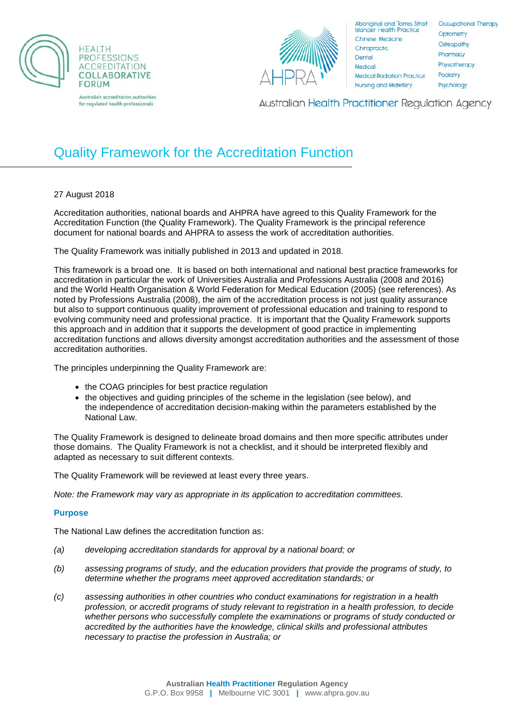



Aboriginal and Torres Strait<br>Islander Health Practice Chinese Medicine Chiropractic Dental Medical **Medical Radiation Practice** Nursing and Midwifery

Occupational Therapy Optometry Osteopathy Pharmacy Physiotherapy Podiatry Psychology

**Australian Health Practitioner Regulation Agency** 

# Quality Framework for the Accreditation Function

# 27 August 2018

Accreditation authorities, national boards and AHPRA have agreed to this Quality Framework for the Accreditation Function (the Quality Framework). The Quality Framework is the principal reference document for national boards and AHPRA to assess the work of accreditation authorities.

The Quality Framework was initially published in 2013 and updated in 2018.

This framework is a broad one. It is based on both international and national best practice frameworks for accreditation in particular the work of Universities Australia and Professions Australia (2008 and 2016) and the World Health Organisation & World Federation for Medical Education (2005) (see references). As noted by Professions Australia (2008), the aim of the accreditation process is not just quality assurance but also to support continuous quality improvement of professional education and training to respond to evolving community need and professional practice. It is important that the Quality Framework supports this approach and in addition that it supports the development of good practice in implementing accreditation functions and allows diversity amongst accreditation authorities and the assessment of those accreditation authorities.

The principles underpinning the Quality Framework are:

- the COAG principles for best practice regulation
- the objectives and guiding principles of the scheme in the legislation (see below), and the independence of accreditation decision-making within the parameters established by the National Law.

The Quality Framework is designed to delineate broad domains and then more specific attributes under those domains. The Quality Framework is not a checklist, and it should be interpreted flexibly and adapted as necessary to suit different contexts.

The Quality Framework will be reviewed at least every three years.

*Note: the Framework may vary as appropriate in its application to accreditation committees.*

## **Purpose**

The National Law defines the accreditation function as:

- *(a) developing accreditation standards for approval by a national board; or*
- *(b) assessing programs of study, and the education providers that provide the programs of study, to determine whether the programs meet approved accreditation standards; or*
- *(c) assessing authorities in other countries who conduct examinations for registration in a health profession, or accredit programs of study relevant to registration in a health profession, to decide whether persons who successfully complete the examinations or programs of study conducted or accredited by the authorities have the knowledge, clinical skills and professional attributes necessary to practise the profession in Australia; or*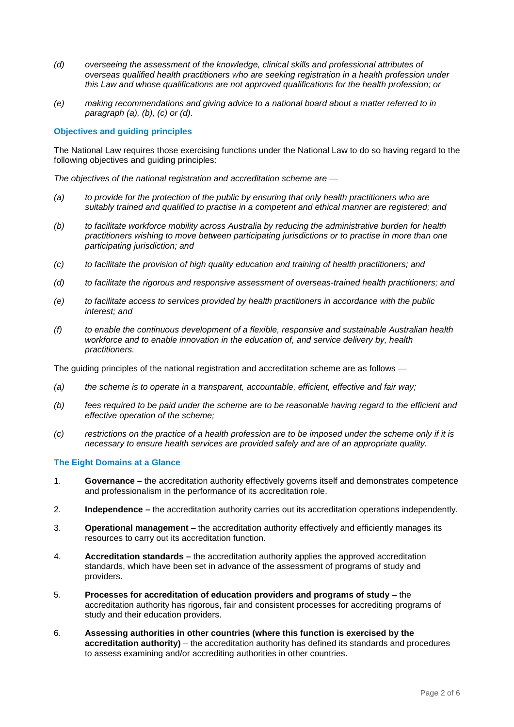- *(d) overseeing the assessment of the knowledge, clinical skills and professional attributes of overseas qualified health practitioners who are seeking registration in a health profession under this Law and whose qualifications are not approved qualifications for the health profession; or*
- *(e) making recommendations and giving advice to a national board about a matter referred to in paragraph (a), (b), (c) or (d).*

## **Objectives and guiding principles**

The National Law requires those exercising functions under the National Law to do so having regard to the following objectives and guiding principles:

*The objectives of the national registration and accreditation scheme are —*

- *(a) to provide for the protection of the public by ensuring that only health practitioners who are suitably trained and qualified to practise in a competent and ethical manner are registered; and*
- *(b) to facilitate workforce mobility across Australia by reducing the administrative burden for health practitioners wishing to move between participating jurisdictions or to practise in more than one participating jurisdiction; and*
- *(c) to facilitate the provision of high quality education and training of health practitioners; and*
- *(d) to facilitate the rigorous and responsive assessment of overseas-trained health practitioners; and*
- *(e) to facilitate access to services provided by health practitioners in accordance with the public interest; and*
- *(f) to enable the continuous development of a flexible, responsive and sustainable Australian health workforce and to enable innovation in the education of, and service delivery by, health practitioners.*

The guiding principles of the national registration and accreditation scheme are as follows —

- *(a) the scheme is to operate in a transparent, accountable, efficient, effective and fair way;*
- *(b) fees required to be paid under the scheme are to be reasonable having regard to the efficient and effective operation of the scheme;*
- *(c) restrictions on the practice of a health profession are to be imposed under the scheme only if it is necessary to ensure health services are provided safely and are of an appropriate quality.*

## **The Eight Domains at a Glance**

- 1. **Governance –** the accreditation authority effectively governs itself and demonstrates competence and professionalism in the performance of its accreditation role.
- 2. **Independence –** the accreditation authority carries out its accreditation operations independently.
- 3. **Operational management** the accreditation authority effectively and efficiently manages its resources to carry out its accreditation function.
- 4. **Accreditation standards –** the accreditation authority applies the approved accreditation standards, which have been set in advance of the assessment of programs of study and providers.
- 5. **Processes for accreditation of education providers and programs of study** the accreditation authority has rigorous, fair and consistent processes for accrediting programs of study and their education providers.
- 6. **Assessing authorities in other countries (where this function is exercised by the accreditation authority)** – the accreditation authority has defined its standards and procedures to assess examining and/or accrediting authorities in other countries.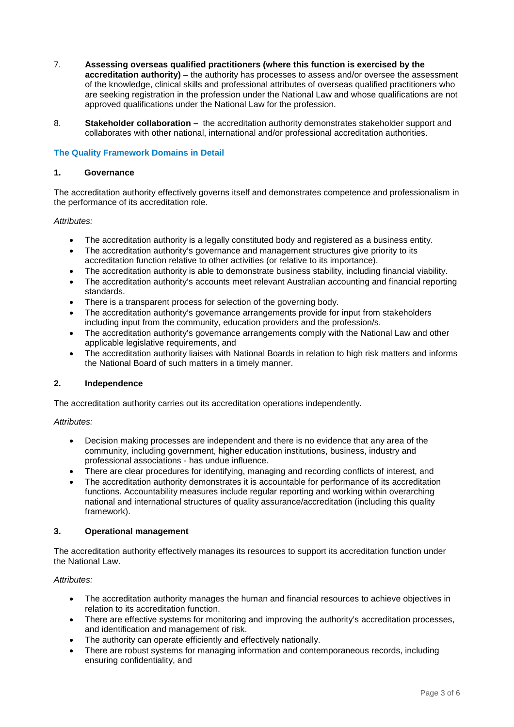- 7. **Assessing overseas qualified practitioners (where this function is exercised by the accreditation authority)** – the authority has processes to assess and/or oversee the assessment of the knowledge, clinical skills and professional attributes of overseas qualified practitioners who are seeking registration in the profession under the National Law and whose qualifications are not approved qualifications under the National Law for the profession.
- 8. **Stakeholder collaboration –** the accreditation authority demonstrates stakeholder support and collaborates with other national, international and/or professional accreditation authorities.

## **The Quality Framework Domains in Detail**

## **1. Governance**

The accreditation authority effectively governs itself and demonstrates competence and professionalism in the performance of its accreditation role.

## *Attributes:*

- The accreditation authority is a legally constituted body and registered as a business entity.
- The accreditation authority's governance and management structures give priority to its accreditation function relative to other activities (or relative to its importance).
- The accreditation authority is able to demonstrate business stability, including financial viability.
- The accreditation authority's accounts meet relevant Australian accounting and financial reporting standards.
- There is a transparent process for selection of the governing body.
- The accreditation authority's governance arrangements provide for input from stakeholders including input from the community, education providers and the profession/s.
- The accreditation authority's governance arrangements comply with the National Law and other applicable legislative requirements, and
- The accreditation authority liaises with National Boards in relation to high risk matters and informs the National Board of such matters in a timely manner.

## **2. Independence**

The accreditation authority carries out its accreditation operations independently.

## *Attributes:*

- Decision making processes are independent and there is no evidence that any area of the community, including government, higher education institutions, business, industry and professional associations - has undue influence.
- There are clear procedures for identifying, managing and recording conflicts of interest, and
- The accreditation authority demonstrates it is accountable for performance of its accreditation functions. Accountability measures include regular reporting and working within overarching national and international structures of quality assurance/accreditation (including this quality framework).

## **3. Operational management**

The accreditation authority effectively manages its resources to support its accreditation function under the National Law.

## *Attributes:*

- The accreditation authority manages the human and financial resources to achieve objectives in relation to its accreditation function.
- There are effective systems for monitoring and improving the authority's accreditation processes, and identification and management of risk.
- The authority can operate efficiently and effectively nationally.
- There are robust systems for managing information and contemporaneous records, including ensuring confidentiality, and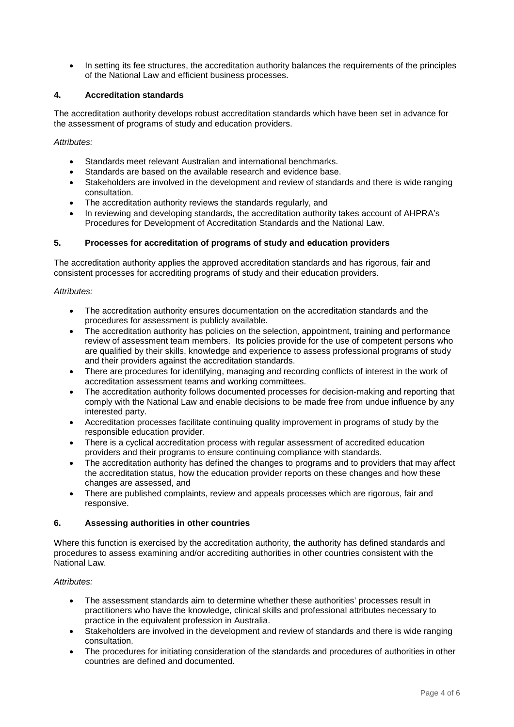• In setting its fee structures, the accreditation authority balances the requirements of the principles of the National Law and efficient business processes.

## **4. Accreditation standards**

The accreditation authority develops robust accreditation standards which have been set in advance for the assessment of programs of study and education providers.

*Attributes:*

- Standards meet relevant Australian and international benchmarks.
- Standards are based on the available research and evidence base.
- Stakeholders are involved in the development and review of standards and there is wide ranging consultation.
- The accreditation authority reviews the standards regularly, and
- In reviewing and developing standards, the accreditation authority takes account of AHPRA's Procedures for Development of Accreditation Standards and the National Law.

## **5. Processes for accreditation of programs of study and education providers**

The accreditation authority applies the approved accreditation standards and has rigorous, fair and consistent processes for accrediting programs of study and their education providers.

## *Attributes:*

- The accreditation authority ensures documentation on the accreditation standards and the procedures for assessment is publicly available.
- The accreditation authority has policies on the selection, appointment, training and performance review of assessment team members. Its policies provide for the use of competent persons who are qualified by their skills, knowledge and experience to assess professional programs of study and their providers against the accreditation standards.
- There are procedures for identifying, managing and recording conflicts of interest in the work of accreditation assessment teams and working committees.
- The accreditation authority follows documented processes for decision-making and reporting that comply with the National Law and enable decisions to be made free from undue influence by any interested party.
- Accreditation processes facilitate continuing quality improvement in programs of study by the responsible education provider.
- There is a cyclical accreditation process with regular assessment of accredited education providers and their programs to ensure continuing compliance with standards.
- The accreditation authority has defined the changes to programs and to providers that may affect the accreditation status, how the education provider reports on these changes and how these changes are assessed, and
- There are published complaints, review and appeals processes which are rigorous, fair and responsive.

## **6. Assessing authorities in other countries**

Where this function is exercised by the accreditation authority, the authority has defined standards and procedures to assess examining and/or accrediting authorities in other countries consistent with the National Law.

## *Attributes:*

- The assessment standards aim to determine whether these authorities' processes result in practitioners who have the knowledge, clinical skills and professional attributes necessary to practice in the equivalent profession in Australia.
- Stakeholders are involved in the development and review of standards and there is wide ranging consultation.
- The procedures for initiating consideration of the standards and procedures of authorities in other countries are defined and documented.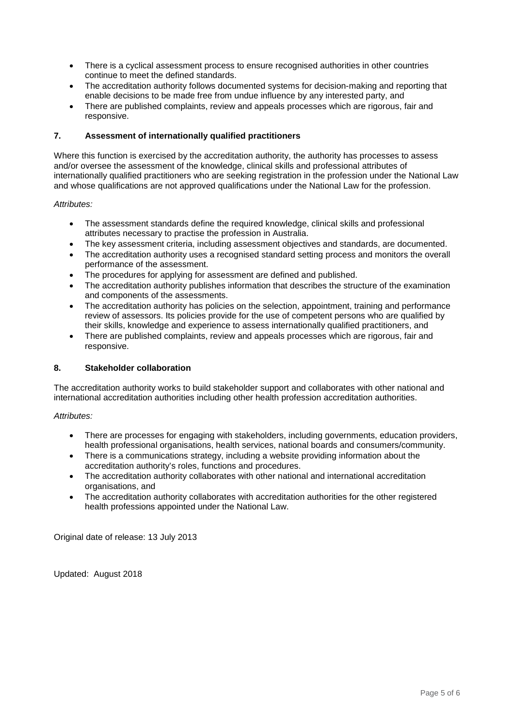- There is a cyclical assessment process to ensure recognised authorities in other countries continue to meet the defined standards.
- The accreditation authority follows documented systems for decision-making and reporting that enable decisions to be made free from undue influence by any interested party, and
- There are published complaints, review and appeals processes which are rigorous, fair and responsive.

## **7. Assessment of internationally qualified practitioners**

Where this function is exercised by the accreditation authority, the authority has processes to assess and/or oversee the assessment of the knowledge, clinical skills and professional attributes of internationally qualified practitioners who are seeking registration in the profession under the National Law and whose qualifications are not approved qualifications under the National Law for the profession.

## *Attributes:*

- The assessment standards define the required knowledge, clinical skills and professional attributes necessary to practise the profession in Australia.
- The key assessment criteria, including assessment objectives and standards, are documented.
- The accreditation authority uses a recognised standard setting process and monitors the overall performance of the assessment.
- The procedures for applying for assessment are defined and published.
- The accreditation authority publishes information that describes the structure of the examination and components of the assessments.
- The accreditation authority has policies on the selection, appointment, training and performance review of assessors. Its policies provide for the use of competent persons who are qualified by their skills, knowledge and experience to assess internationally qualified practitioners, and
- There are published complaints, review and appeals processes which are rigorous, fair and responsive.

## **8. Stakeholder collaboration**

The accreditation authority works to build stakeholder support and collaborates with other national and international accreditation authorities including other health profession accreditation authorities.

## *Attributes:*

- There are processes for engaging with stakeholders, including governments, education providers, health professional organisations, health services, national boards and consumers/community.
- There is a communications strategy, including a website providing information about the accreditation authority's roles, functions and procedures.
- The accreditation authority collaborates with other national and international accreditation organisations, and
- The accreditation authority collaborates with accreditation authorities for the other registered health professions appointed under the National Law.

Original date of release: 13 July 2013

Updated: August 2018